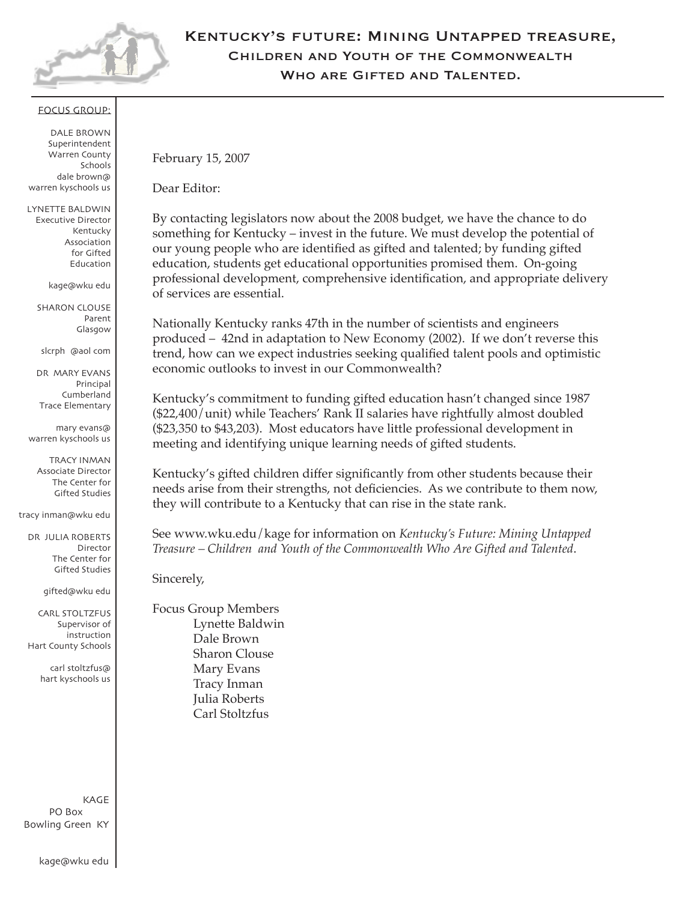

# Kentucky's future: Mining Untapped treasure, Children and Youth of the Commonwealth Who are Gifted and Talented.

### focus group:

Dale Brown Superintendent Warren County Schools dale.brown@ warren.kyschools.us

Lynette Baldwin Executive Director Kentucky Association for Gifted Education 270.745.4301 kage@wku.edu

> **SHARON CLOUSE** Parent Glasgow 270.659.2455 slcrph4@aol.com

Dr. Mary Evans Principal Cumberland Trace Elementary 270.781.1356 mary.evans@ warren.kyschools.us

Tracy Inman Associate Director The Center for Gifted Studies 270.745.6323 tracy.inman@wku.edu

Dr. Julia Roberts Director The Center for Gifted Studies 270.745.6323 gifted@wku.edu

Carl Stoltzfus Supervisor of instruction Hart County Schools 270.524.2631 carl.stoltzfus@ hart.kyschools.us

KAGE PO Box 9610 Bowling Green, KY 42102-9610 270.745.4301 kage@wku.edu February 15, 2007

Dear Editor:

By contacting legislators now about the 2008 budget, we have the chance to do something for Kentucky – invest in the future. We must develop the potential of our young people who are identified as gifted and talented; by funding gifted education, students get educational opportunities promised them. On-going professional development, comprehensive identification, and appropriate delivery of services are essential.

Nationally Kentucky ranks 47th in the number of scientists and engineers produced – 42nd in adaptation to New Economy (2002). If we don't reverse this trend, how can we expect industries seeking qualified talent pools and optimistic economic outlooks to invest in our Commonwealth?

Kentucky's commitment to funding gifted education hasn't changed since 1987 (\$22,400/unit) while Teachers' Rank II salaries have rightfully almost doubled (\$23,350 to \$43,203). Most educators have little professional development in meeting and identifying unique learning needs of gifted students.

Kentucky's gifted children differ significantly from other students because their needs arise from their strengths, not deficiencies. As we contribute to them now, they will contribute to a Kentucky that can rise in the state rank.

See www.wku.edu/kage for information on *Kentucky's Future: Mining Untapped Treasure – Children and Youth of the Commonwealth Who Are Gifted and Talented*.

Sincerely,

Focus Group Members Lynette Baldwin Dale Brown Sharon Clouse Mary Evans Tracy Inman Julia Roberts Carl Stoltzfus